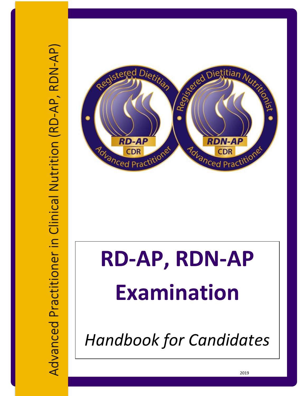



# **RD-AP, RDN-AP Examination**

*Handbook for Candidates*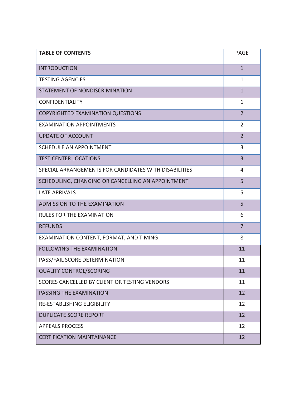| <b>TABLE OF CONTENTS</b>                              | PAGE           |
|-------------------------------------------------------|----------------|
| <b>INTRODUCTION</b>                                   | $\mathbf{1}$   |
| <b>TESTING AGENCIES</b>                               | $\mathbf{1}$   |
| STATEMENT OF NONDISCRIMINATION                        | $\mathbf{1}$   |
| <b>CONFIDENTIALITY</b>                                | $\mathbf{1}$   |
| <b>COPYRIGHTED EXAMINATION QUESTIONS</b>              | $\overline{2}$ |
| <b>EXAMINATION APPOINTMENTS</b>                       | $\overline{2}$ |
| <b>UPDATE OF ACCOUNT</b>                              | $\overline{2}$ |
| <b>SCHEDULE AN APPOINTMENT</b>                        | 3              |
| <b>TEST CENTER LOCATIONS</b>                          | 3              |
| SPECIAL ARRANGEMENTS FOR CANDIDATES WITH DISABILITIES | 4              |
| SCHEDULING, CHANGING OR CANCELLING AN APPOINTMENT     | 5              |
| <b>LATE ARRIVALS</b>                                  | 5              |
| <b>ADMISSION TO THE EXAMINATION</b>                   | 5              |
| RULES FOR THE EXAMINATION                             | 6              |
| <b>REFUNDS</b>                                        | $\overline{7}$ |
| EXAMINATION CONTENT, FORMAT, AND TIMING               | 8              |
| <b>FOLLOWING THE EXAMINATION</b>                      | 11             |
| PASS/FAIL SCORE DETERMINATION                         | 11             |
| <b>QUALITY CONTROL/SCORING</b>                        | 11             |
| SCORES CANCELLED BY CLIENT OR TESTING VENDORS         | 11             |
| PASSING THE EXAMINATION                               | 12             |
| RE-ESTABLISHING ELIGIBILITY                           | 12             |
| <b>DUPLICATE SCORE REPORT</b>                         | 12             |
| <b>APPEALS PROCESS</b>                                | 12             |
| <b>CERTIFICATION MAINTAINANCE</b>                     | 12             |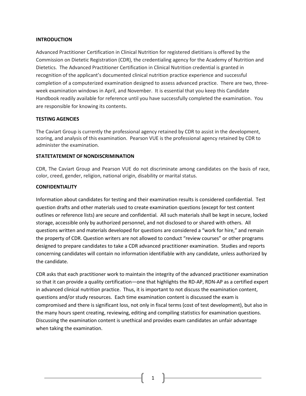#### **INTRODUCTION**

Advanced Practitioner Certification in Clinical Nutrition for registered dietitians is offered by the Commission on Dietetic Registration (CDR), the credentialing agency for the Academy of Nutrition and Dietetics. The Advanced Practitioner Certification in Clinical Nutrition credential is granted in recognition of the applicant's documented clinical nutrition practice experience and successful completion of a computerized examination designed to assess advanced practice. There are two, threeweek examination windows in April, and November. It is essential that you keep this Candidate Handbook readily available for reference until you have successfully completed the examination. You are responsible for knowing its contents.

## **TESTING AGENCIES**

The Caviart Group is currently the professional agency retained by CDR to assist in the development, scoring, and analysis of this examination. Pearson VUE is the professional agency retained by CDR to administer the examination.

## **STATETATEMENT OF NONDISCRIMINATION**

CDR, The Caviart Group and Pearson VUE do not discriminate among candidates on the basis of race, color, creed, gender, religion, national origin, disability or marital status.

#### **CONFIDENTIALITY**

Information about candidates for testing and their examination results is considered confidential. Test question drafts and other materials used to create examination questions (except for test content outlines or reference lists) are secure and confidential. All such materials shall be kept in secure, locked storage, accessible only by authorized personnel, and not disclosed to or shared with others. All questions written and materials developed for questions are considered a "work for hire," and remain the property of CDR. Question writers are not allowed to conduct "review courses" or other programs designed to prepare candidates to take a CDR advanced practitioner examination. Studies and reports concerning candidates will contain no information identifiable with any candidate, unless authorized by the candidate.

CDR asks that each practitioner work to maintain the integrity of the advanced practitioner examination so that it can provide a quality certification—one that highlights the RD-AP, RDN-AP as a certified expert in advanced clinical nutrition practice. Thus, it is important to not discuss the examination content, questions and/or study resources. Each time examination content is discussed the exam is compromised and there is significant loss, not only in fiscal terms (cost of test development), but also in the many hours spent creating, reviewing, editing and compiling statistics for examination questions. Discussing the examination content is unethical and provides exam candidates an unfair advantage when taking the examination.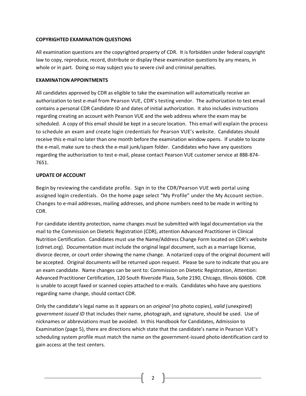## **COPYRIGHTED EXAMINATION QUESTIONS**

All examination questions are the copyrighted property of CDR. It is forbidden under federal copyright law to copy, reproduce, record, distribute or display these examination questions by any means, in whole or in part. Doing so may subject you to severe civil and criminal penalties.

# **EXAMINATION APPOINTMENTS**

All candidates approved by CDR as eligible to take the examination will automatically receive an authorization to test e-mail from Pearson VUE, CDR's testing vendor. The authorization to test email contains a personal CDR Candidate ID and dates of initial authorization. It also includes instructions regarding creating an account with Pearson VUE and the web address where the exam may be scheduled. A copy of this email should be kept in a secure location. This email will explain the process to schedule an exam and create login credentials for Pearson VUE's website. Candidates should receive this e-mail no later than one month before the examination window opens. If unable to locate the e-mail, make sure to check the e-mail junk/spam folder. Candidates who have any questions regarding the authorization to test e-mail, please contact Pearson VUE customer service at 888-874- 7651.

# **UPDATE OF ACCOUNT**

Begin by reviewing the candidate profile. Sign in to the CDR/Pearson VUE web portal using assigned login credentials. On the home page select "My Profile" under the My Account section. Changes to e-mail addresses, mailing addresses, and phone numbers need to be made in writing to CDR.

For candidate identity protection, name changes must be submitted with legal documentation via the mail to the Commission on Dietetic Registration (CDR), attention Advanced Practitioner in Clinical Nutrition Certification. Candidates must use the Name/Address Change Form located on CDR's website (cdrnet.org). Documentation must include the original legal document, such as a marriage license, divorce decree, or court order showing the name change. A notarized copy of the original document will be accepted. Original documents will be returned upon request. Please be sure to indicate that you are an exam candidate. Name changes can be sent to: Commission on Dietetic Registration, Attention: Advanced Practitioner Certification, 120 South Riverside Plaza, Suite 2190, Chicago, Illinois 60606. CDR is unable to accept faxed or scanned copies attached to e-mails. Candidates who have any questions regarding name change, should contact CDR.

Only the candidate's legal name as it appears on an *original* (no photo copies), *valid* (unexpired) *government issued ID* that includes their name, photograph, and signature, should be used. Use of nicknames or abbreviations must be avoided. In this Handbook for Candidates, Admission to Examination (page 5), there are directions which state that the candidate's name in Pearson VUE's scheduling system profile must match the name on the government-issued photo identification card to gain access at the test centers.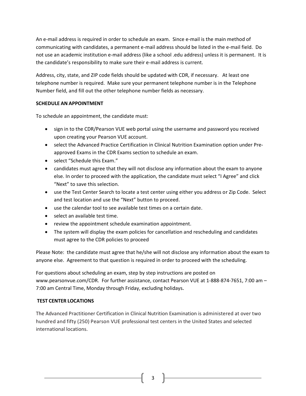An e-mail address is required in order to schedule an exam. Since e-mail is the main method of communicating with candidates, a permanent e-mail address should be listed in the e-mail field. Do not use an academic institution e-mail address (like a school .edu address) unless it is permanent. It is the candidate's responsibility to make sure their e-mail address is current.

Address, city, state, and ZIP code fields should be updated with CDR, if necessary. At least one telephone number is required. Make sure your permanent telephone number is in the Telephone Number field, and fill out the other telephone number fields as necessary.

# **SCHEDULE AN APPOINTMENT**

To schedule an appointment, the candidate must:

- sign in to the CDR/Pearson VUE web portal using the username and password you received upon creating your Pearson VUE account.
- select the Advanced Practice Certification in Clinical Nutrition Examination option under Preapproved Exams in the CDR Exams section to schedule an exam.
- select "Schedule this Exam."
- candidates must agree that they will not disclose any information about the exam to anyone else. In order to proceed with the application, the candidate must select "I Agree" and click "Next" to save this selection.
- use the Test Center Search to locate a test center using either you address or Zip Code. Select and test location and use the "Next" button to proceed.
- use the calendar tool to see available test times on a certain date.
- select an available test time.
- review the appointment schedule examination appointment.
- The system will display the exam policies for cancellation and rescheduling and candidates must agree to the CDR policies to proceed

Please Note: the candidate must agree that he/she will not disclose any information about the exam to anyone else. Agreement to that question is required in order to proceed with the scheduling.

For questions about scheduling an exam, step by step instructions are posted on [www.pearsonvue.com/CDR.](http://www.pearsonvue.com/CDR) For further assistance, contact Pearson VUE at 1-888-874-7651, 7:00 am – 7:00 am Central Time, Monday through Friday, excluding holidays**.**

# **TEST CENTER LOCATIONS**

The Advanced Practitioner Certification in Clinical Nutrition Examination is administered at over two hundred and fifty (250) Pearson VUE professional test centers in the United States and selected international locations.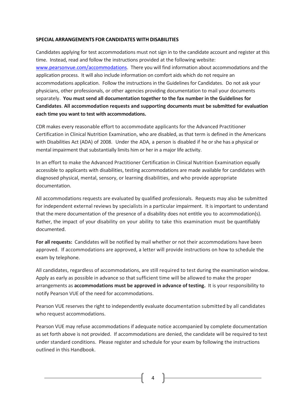#### **SPECIAL ARRANGEMENTS FOR CANDIDATES WITH DISABILITIES**

Candidates applying for test accommodations must not sign in to the candidate account and register at this time. Instead, read and follow the instructions provided at the following website: [www.pearsonvue.com/accommodations.](http://www.pearsonvue.com/accommodations) There you will find information about accommodations and the application process. It will also include information on comfort aids which do not require an accommodations application. Follow the instructions in the Guidelines for Candidates. Do not ask your physicians, other professionals, or other agencies providing documentation to mail your documents separately. **You must send all documentation together to the fax number in the Guidelines for Candidates**. **All accommodation requests and supporting documents must be submitted for evaluation each time you want to test with accommodations.** 

CDR makes every reasonable effort to accommodate applicants for the Advanced Practitioner Certification in Clinical Nutrition Examination, who are disabled, as that term is defined in the Americans with Disabilities Act (ADA) of 2008. Under the ADA, a person is disabled if he or she has a physical or mental impairment that substantially limits him or her in a major life activity.

In an effort to make the Advanced Practitioner Certification in Clinical Nutrition Examination equally accessible to applicants with disabilities, testing accommodations are made available for candidates with diagnosed physical, mental, sensory, or learning disabilities, and who provide appropriate documentation.

All accommodations requests are evaluated by qualified professionals. Requests may also be submitted for independent external reviews by specialists in a particular impairment. It is important to understand that the mere documentation of the presence of a disability does not entitle you to accommodation(s). Rather, the impact of your disability on your ability to take this examination must be quantifiably documented.

**For all requests:** Candidates will be notified by mail whether or not their accommodations have been approved. If accommodations are approved, a letter will provide instructions on how to schedule the exam by telephone.

All candidates, regardless of accommodations, are still required to test during the examination window. Apply as early as possible in advance so that sufficient time will be allowed to make the proper arrangements as **accommodations must be approved in advance of testing.** It is your responsibility to notify Pearson VUE of the need for accommodations.

Pearson VUE reserves the right to independently evaluate documentation submitted by all candidates who request accommodations.

Pearson VUE may refuse accommodations if adequate notice accompanied by complete documentation as set forth above is not provided. If accommodations are denied, the candidate will be required to test under standard conditions. Please register and schedule for your exam by following the instructions outlined in this Handbook.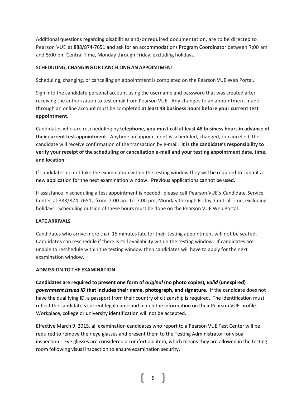Additional questions regarding disabilities and/or required documentation, are to be directed to Pearson VUE at 888/874-7651 and ask for an accommodations Program Coordinator between 7:00 am and 5:00 pm Central Time, Monday through Friday, excluding holidays.

# **SCHEDULING, CHANGING OR CANCELLING AN APPOINTMENT**

Scheduling, changing, or cancelling an appointment is completed on the Pearson VUE Web Portal.

Sign into the candidate personal account using the username and password that was created after receiving the authorization to test email from Pearson VUE. Any changes to an appointment made through an online account must be completed **at least 48 business hours before your current test appointment.** 

Candidates who are rescheduling by **telephone, you must call at least 48 business hours in advance of their current test appointment.** Anytime an appointment is scheduled, changed, or cancelled, the candidate will receive confirmation of the transaction by e-mail. **It is the candidate's responsibility to verify your receipt of the scheduling or cancellation e-mail and your testing appointment date, time, and location.** 

If candidates do not take the examination within the testing window they will be required to submit a new application for the next examination window. Previous applications cannot be used.

If assistance in scheduling a test appointment is needed, please call Pearson VUE's Candidate Service Center at 888/874-7651, from 7:00 am to 7:00 pm, Monday through Friday, Central Time, excluding holidays. Scheduling outside of these hours must be done on the Pearson VUE Web Portal.

# **LATE ARRIVALS**

Candidates who arrive more than 15 minutes late for their testing appointment will not be seated. Candidates can reschedule if there is still availability within the testing window. If candidates are unable to reschedule within the testing window then candidates will have to apply for the next examination window.

# **ADMISSION TO THE EXAMINATION**

**Candidates are required to present one form of** *original* **(no photo copies),** *valid* **(unexpired)**  *government issued ID* **that includes their name, photograph, and signature.** If the candidate does not have the qualifying ID, a passport from their country of citizenship is required. The identification must reflect the candidate's current legal name and match the information on their Pearson VUE profile. Workplace, college or university identification will not be accepted.

Effective March 9, 2015, all examination candidates who report to a Pearson VUE Test Center will be required to remove their eye glasses and present them to the Testing Administrator for visual inspection. Eye glasses are considered a comfort aid item, which means they are allowed in the testing room following visual inspection to ensure examination security.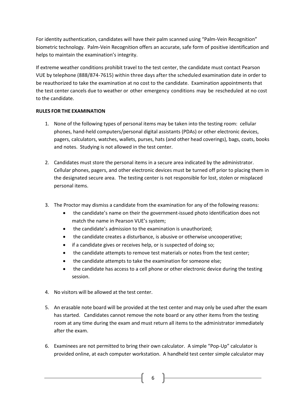For identity authentication, candidates will have their palm scanned using "Palm-Vein Recognition" biometric technology. Palm-Vein Recognition offers an accurate, safe form of positive identification and helps to maintain the examination's integrity.

If extreme weather conditions prohibit travel to the test center, the candidate must contact Pearson VUE by telephone (888/874-7615) within three days after the scheduled examination date in order to be reauthorized to take the examination at no cost to the candidate. Examination appointments that the test center cancels due to weather or other emergency conditions may be rescheduled at no cost to the candidate.

# **RULES FOR THE EXAMINATION**

- 1. None of the following types of personal items may be taken into the testing room: cellular phones, hand-held computers/personal digital assistants (PDAs) or other electronic devices, pagers, calculators, watches, wallets, purses, hats (and other head coverings), bags, coats, books and notes. Studying is not allowed in the test center.
- 2. Candidates must store the personal items in a secure area indicated by the administrator. Cellular phones, pagers, and other electronic devices must be turned off prior to placing them in the designated secure area. The testing center is not responsible for lost, stolen or misplaced personal items.
- 3. The Proctor may dismiss a candidate from the examination for any of the following reasons:
	- the candidate's name on their the government-issued photo identification does not match the name in Pearson VUE's system;
	- the candidate's admission to the examination is unauthorized;
	- the candidate creates a disturbance, is abusive or otherwise uncooperative;
	- if a candidate gives or receives help, or is suspected of doing so;
	- the candidate attempts to remove test materials or notes from the test center;
	- the candidate attempts to take the examination for someone else;
	- the candidate has access to a cell phone or other electronic device during the testing session.
- 4. No visitors will be allowed at the test center.
- 5. An erasable note board will be provided at the test center and may only be used after the exam has started. Candidates cannot remove the note board or any other items from the testing room at any time during the exam and must return all items to the administrator immediately after the exam.
- 6. Examinees are not permitted to bring their own calculator. A simple "Pop-Up" calculator is provided online, at each computer workstation. A handheld test center simple calculator may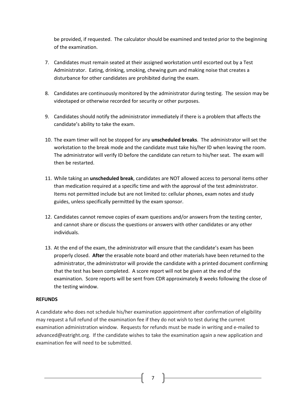be provided, if requested. The calculator should be examined and tested prior to the beginning of the examination.

- 7. Candidates must remain seated at their assigned workstation until escorted out by a Test Administrator. Eating, drinking, smoking, chewing gum and making noise that creates a disturbance for other candidates are prohibited during the exam.
- 8. Candidates are continuously monitored by the administrator during testing. The session may be videotaped or otherwise recorded for security or other purposes.
- 9. Candidates should notify the administrator immediately if there is a problem that affects the candidate's ability to take the exam.
- 10. The exam timer will not be stopped for any **unscheduled breaks**. The administrator will set the workstation to the break mode and the candidate must take his/her ID when leaving the room. The administrator will verify ID before the candidate can return to his/her seat. The exam will then be restarted.
- 11. While taking an **unscheduled break**, candidates are NOT allowed access to personal items other than medication required at a specific time and with the approval of the test administrator. Items not permitted include but are not limited to: cellular phones, exam notes and study guides, unless specifically permitted by the exam sponsor.
- 12. Candidates cannot remove copies of exam questions and/or answers from the testing center, and cannot share or discuss the questions or answers with other candidates or any other individuals.
- 13. At the end of the exam, the administrator will ensure that the candidate's exam has been properly closed. **After** the erasable note board and other materials have been returned to the administrator, the administrator will provide the candidate with a printed document confirming that the test has been completed. A score report will not be given at the end of the examination. Score reports will be sent from CDR approximately 8 weeks following the close of the testing window.

## **REFUNDS**

A candidate who does not schedule his/her examination appointment after confirmation of eligibility may request a full refund of the examination fee if they do not wish to test during the current examination administration window. Requests for refunds must be made in writing and e-mailed to advanced@eatright.org. If the candidate wishes to take the examination again a new application and examination fee will need to be submitted.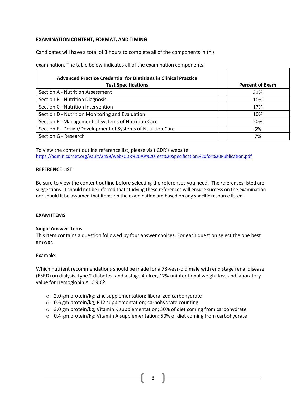# **EXAMINATION CONTENT, FORMAT, AND TIMING**

Candidates will have a total of 3 hours to complete all of the components in this

| <b>Advanced Practice Credential for Dietitians in Clinical Practice</b> |                        |
|-------------------------------------------------------------------------|------------------------|
| <b>Test Specifications</b>                                              | <b>Percent of Exam</b> |
| Section A - Nutrition Assessment                                        | 31%                    |
| Section B - Nutrition Diagnosis                                         | 10%                    |
| Section C - Nutrition Intervention                                      | 17%                    |
| Section D - Nutrition Monitoring and Evaluation                         | 10%                    |
| Section E - Management of Systems of Nutrition Care                     | 20%                    |
| Section F - Design/Development of Systems of Nutrition Care             | 5%                     |
| Section G - Research                                                    | 7%                     |

examination. The table below indicates all of the examination components.

To view the content outline reference list, please visit CDR's website: <https://admin.cdrnet.org/vault/2459/web/CDR%20AP%20Test%20Specification%20for%20Publication.pdf>

#### **REFERENCE LIST**

Be sure to view the content outline before selecting the references you need. The references listed are suggestions. It should not be inferred that studying these references will ensure success on the examination nor should it be assumed that items on the examination are based on any specific resource listed.

## **EXAM ITEMS**

## **Single Answer Items**

This item contains a question followed by four answer choices. For each question select the one best answer.

#### Example:

Which nutrient recommendations should be made for a 78-year-old male with end stage renal disease (ESRD) on dialysis; type 2 diabetes; and a stage 4 ulcer, 12% unintentional weight loss and laboratory value for Hemoglobin A1C 9.0?

- o 2.0 gm protein/kg; zinc supplementation; liberalized carbohydrate
- o 0.6 gm protein/kg; B12 supplementation; carbohydrate counting
- $\circ$  3.0 gm protein/kg; Vitamin K supplementation; 30% of diet coming from carbohydrate
- $\circ$  0.4 gm protein/kg; Vitamin A supplementation; 50% of diet coming from carbohydrate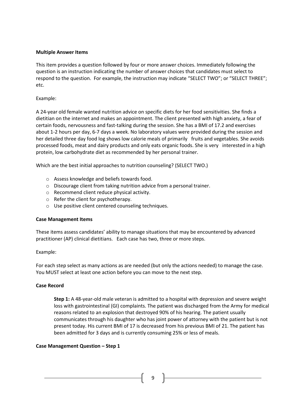#### **Multiple Answer Items**

This item provides a question followed by four or more answer choices. Immediately following the question is an instruction indicating the number of answer choices that candidates must select to respond to the question. For example, the instruction may indicate "SELECT TWO"; or "SELECT THREE"; etc.

## Example:

A 24-year old female wanted nutrition advice on specific diets for her food sensitivities. She finds a dietitian on the internet and makes an appointment. The client presented with high anxiety, a fear of certain foods, nervousness and fast-talking during the session. She has a BMI of 17.2 and exercises about 1-2 hours per day, 6-7 days a week. No laboratory values were provided during the session and her detailed three day food log shows low calorie meals of primarily fruits and vegetables. She avoids processed foods, meat and dairy products and only eats organic foods. She is very interested in a high protein, low carbohydrate diet as recommended by her personal trainer.

Which are the best initial approaches to nutrition counseling? (SELECT TWO.)

- o Assess knowledge and beliefs towards food.
- o Discourage client from taking nutrition advice from a personal trainer.
- o Recommend client reduce physical activity.
- o Refer the client for psychotherapy.
- o Use positive client centered counseling techniques.

#### **Case Management Items**

These items assess candidates' ability to manage situations that may be encountered by advanced practitioner (AP) clinical dietitians. Each case has two, three or more steps.

#### Example:

For each step select as many actions as are needed (but only the actions needed) to manage the case. You MUST select at least one action before you can move to the next step.

#### **Case Record**

**Step 1:** A 48-year-old male veteran is admitted to a hospital with depression and severe weight loss with gastrointestinal (GI) complaints. The patient was discharged from the Army for medical reasons related to an explosion that destroyed 90% of his hearing. The patient usually communicates through his daughter who has joint power of attorney with the patient but is not present today. His current BMI of 17 is decreased from his previous BMI of 21. The patient has been admitted for 3 days and is currently consuming 25% or less of meals.

#### **Case Management Question – Step 1**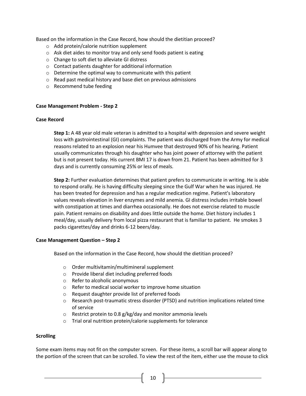Based on the information in the Case Record, how should the dietitian proceed?

- o Add protein/calorie nutrition supplement
- o Ask diet aides to monitor tray and only send foods patient is eating
- o Change to soft diet to alleviate GI distress
- o Contact patients daughter for additional information
- o Determine the optimal way to communicate with this patient
- o Read past medical history and base diet on previous admissions
- o Recommend tube feeding

#### **Case Management Problem - Step 2**

#### **Case Record**

**Step 1:** A 48 year old male veteran is admitted to a hospital with depression and severe weight loss with gastrointestinal (GI) complaints. The patient was discharged from the Army for medical reasons related to an explosion near his Humvee that destroyed 90% of his hearing. Patient usually communicates through his daughter who has joint power of attorney with the patient but is not present today. His current BMI 17 is down from 21. Patient has been admitted for 3 days and is currently consuming 25% or less of meals.

**Step 2:** Further evaluation determines that patient prefers to communicate in writing. He is able to respond orally. He is having difficulty sleeping since the Gulf War when he was injured. He has been treated for depression and has a regular medication regime. Patient's laboratory values reveals elevation in liver enzymes and mild anemia. GI distress includes irritable bowel with constipation at times and diarrhea occasionally. He does not exercise related to muscle pain. Patient remains on disability and does little outside the home. Diet history includes 1 meal/day, usually delivery from local pizza restaurant that is familiar to patient. He smokes 3 packs cigarettes/day and drinks 6-12 beers/day.

#### **Case Management Question – Step 2**

Based on the information in the Case Record, how should the dietitian proceed?

- o Order multivitamin/multimineral supplement
- o Provide liberal diet including preferred foods
- o Refer to alcoholic anonymous
- o Refer to medical social worker to improve home situation
- o Request daughter provide list of preferred foods
- o Research post-traumatic stress disorder (PTSD) and nutrition implications related time of service
- o Restrict protein to 0.8 g/kg/day and monitor ammonia levels
- o Trial oral nutrition protein/calorie supplements for tolerance

#### **Scrolling**

Some exam items may not fit on the computer screen. For these items, a scroll bar will appear along to the portion of the screen that can be scrolled. To view the rest of the item, either use the mouse to click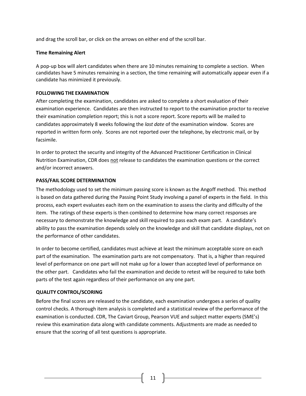and drag the scroll bar, or click on the arrows on either end of the scroll bar.

#### **Time Remaining Alert**

A pop-up box will alert candidates when there are 10 minutes remaining to complete a section. When candidates have 5 minutes remaining in a section, the time remaining will automatically appear even if a candidate has minimized it previously.

#### **FOLLOWING THE EXAMINATION**

After completing the examination, candidates are asked to complete a short evaluation of their examination experience. Candidates are then instructed to report to the examination proctor to receive their examination completion report; this is not a score report. Score reports will be mailed to candidates approximately 8 weeks following the *last date* of the examination window. Scores are reported in written form only. Scores are not reported over the telephone, by electronic mail, or by facsimile.

In order to protect the security and integrity of the Advanced Practitioner Certification in Clinical Nutrition Examination, CDR does not release to candidates the examination questions or the correct and/or incorrect answers.

#### **PASS/FAIL SCORE DETERMINATION**

The methodology used to set the minimum passing score is known as the Angoff method. This method is based on data gathered during the Passing Point Study involving a panel of experts in the field. In this process, each expert evaluates each item on the examination to assess the clarity and difficulty of the item. The ratings of these experts is then combined to determine how many correct responses are necessary to demonstrate the knowledge and skill required to pass each exam part. A candidate's ability to pass the examination depends solely on the knowledge and skill that candidate displays, not on the performance of other candidates.

In order to become certified, candidates must achieve at least the minimum acceptable score on each part of the examination. The examination parts are not compensatory. That is, a higher than required level of performance on one part will not make up for a lower than accepted level of performance on the other part. Candidates who fail the examination and decide to retest will be required to take both parts of the test again regardless of their performance on any one part.

## **QUALITY CONTROL/SCORING**

Before the final scores are released to the candidate, each examination undergoes a series of quality control checks. A thorough item analysis is completed and a statistical review of the performance of the examination is conducted. CDR, The Caviart Group, Pearson VUE and subject matter experts (SME's) review this examination data along with candidate comments. Adjustments are made as needed to ensure that the scoring of all test questions is appropriate.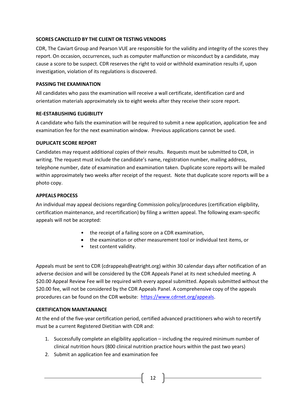## **SCORES CANCELLED BY THE CLIENT OR TESTING VENDORS**

CDR, The Caviart Group and Pearson VUE are responsible for the validity and integrity of the scores they report. On occasion, occurrences, such as computer malfunction or misconduct by a candidate, may cause a score to be suspect. CDR reserves the right to void or withhold examination results if, upon investigation, violation of its regulations is discovered.

## **PASSING THE EXAMINATION**

All candidates who pass the examination will receive a wall certificate, identification card and orientation materials approximately six to eight weeks after they receive their score report.

## **RE-ESTABLISHING ELIGIBILITY**

A candidate who fails the examination will be required to submit a new application, application fee and examination fee for the next examination window. Previous applications cannot be used.

# **DUPLICATE SCORE REPORT**

Candidates may request additional copies of their results. Requests must be submitted to CDR, in writing. The request must include the candidate's name, registration number, mailing address, telephone number, date of examination and examination taken. Duplicate score reports will be mailed within approximately two weeks after receipt of the request. Note that duplicate score reports will be a photo copy.

# **APPEALS PROCESS**

An individual may appeal decisions regarding Commission policy/procedures (certification eligibility, certification maintenance, and recertification) by filing a written appeal. The following exam-specific appeals will not be accepted:

- the receipt of a failing score on a CDR examination,
- the examination or other measurement tool or individual test items, or
- test content validity.

Appeals must be sent to CDR (cdrappeals@eatright.org) within 30 calendar days after notification of an adverse decision and will be considered by the CDR Appeals Panel at its next scheduled meeting. A \$20.00 Appeal Review Fee will be required with every appeal submitted. Appeals submitted without the \$20.00 fee, will not be considered by the CDR Appeals Panel. A comprehensive copy of the appeals procedures can be found on the CDR website: [https://www.cdrnet.org/appeals.](https://www.cdrnet.org/appeals)

# **CERTIFICATION MAINTANANCE**

At the end of the five-year certification period, certified advanced practitioners who wish to recertify must be a current Registered Dietitian with CDR and:

1. Successfully complete an eligibility application – including the required minimum number of clinical nutrition hours (800 clinical nutrition practice hours within the past two years)

 $\begin{bmatrix} 12 \end{bmatrix}$ 

2. Submit an application fee and examination fee